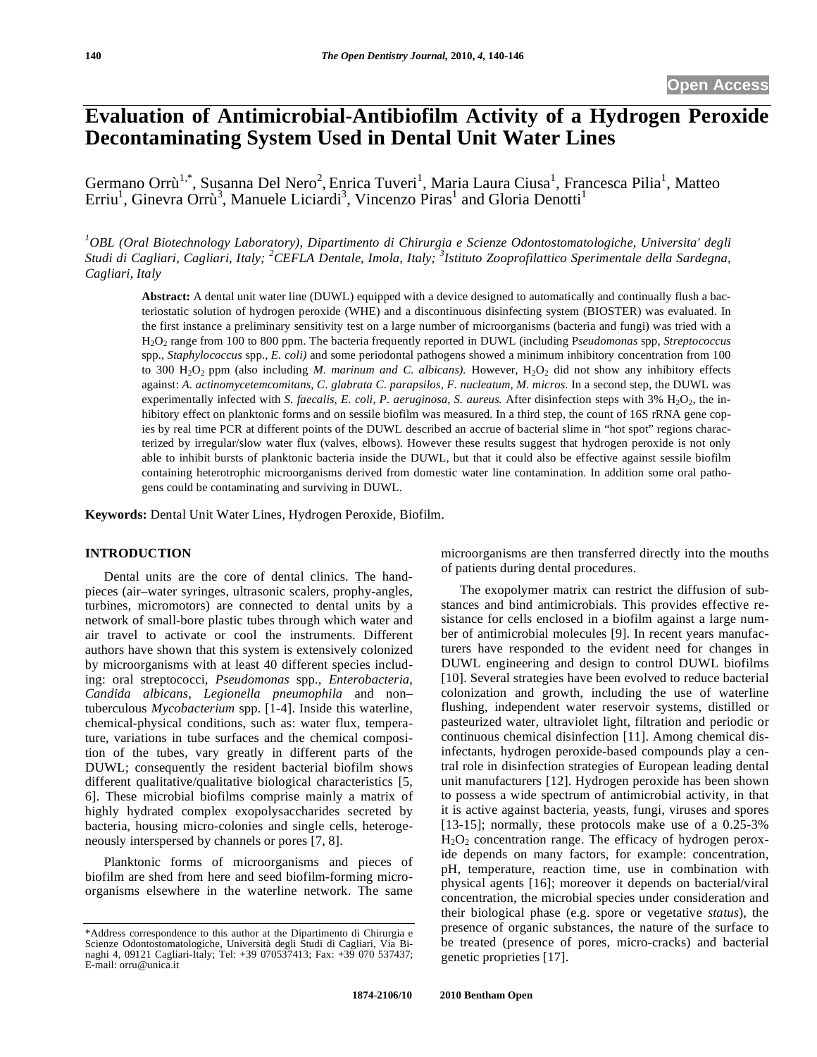# **Evaluation of Antimicrobial-Antibiofilm Activity of a Hydrogen Peroxide Decontaminating System Used in Dental Unit Water Lines**

Germano Orrù<sup>1,\*</sup>, Susanna Del Nero<sup>2</sup>, Enrica Tuveri<sup>1</sup>, Maria Laura Ciusa<sup>1</sup>, Francesca Pilia<sup>1</sup>, Matteo Erriu<sup>1</sup>, Ginevra Orrù<sup>3</sup>, Manuele Liciardi<sup>3</sup>, Vincenzo Piras<sup>1</sup> and Gloria Denotti<sup>1</sup>

<sup>1</sup>OBL (Oral Biotechnology Laboratory), Dipartimento di Chirurgia e Scienze Odontostomatologiche, Universita' degli *Studi di Cagliari, Cagliari, Italy; <sup>2</sup> CEFLA Dentale, Imola, Italy; <sup>3</sup> Istituto Zooprofilattico Sperimentale della Sardegna, Cagliari, Italy* 

**Abstract:** A dental unit water line (DUWL) equipped with a device designed to automatically and continually flush a bacteriostatic solution of hydrogen peroxide (WHE) and a discontinuous disinfecting system (BIOSTER) was evaluated. In the first instance a preliminary sensitivity test on a large number of microorganisms (bacteria and fungi) was tried with a H2O2 range from 100 to 800 ppm. The bacteria frequently reported in DUWL (including P*seudomonas* spp*, Streptococcus*  spp*., Staphylococcus* spp*., E. coli)* and some periodontal pathogens showed a minimum inhibitory concentration from 100 to 300 H<sub>2</sub>O<sub>2</sub> ppm (also including *M. marinum and C. albicans*). However, H<sub>2</sub>O<sub>2</sub> did not show any inhibitory effects against: *A. actinomycetemcomitans, C. glabrata C. parapsilos, F. nucleatum, M. micros.* In a second step, the DUWL was experimentally infected with *S. faecalis, E. coli, P. aeruginosa, S. aureus.* After disinfection steps with 3% H<sub>2</sub>O<sub>2</sub>, the inhibitory effect on planktonic forms and on sessile biofilm was measured. In a third step, the count of 16S rRNA gene copies by real time PCR at different points of the DUWL described an accrue of bacterial slime in "hot spot" regions characterized by irregular/slow water flux (valves, elbows). However these results suggest that hydrogen peroxide is not only able to inhibit bursts of planktonic bacteria inside the DUWL, but that it could also be effective against sessile biofilm containing heterotrophic microorganisms derived from domestic water line contamination. In addition some oral pathogens could be contaminating and surviving in DUWL.

**Keywords:** Dental Unit Water Lines, Hydrogen Peroxide, Biofilm.

#### **INTRODUCTION**

Dental units are the core of dental clinics. The handpieces (air–water syringes, ultrasonic scalers, prophy-angles, turbines, micromotors) are connected to dental units by a network of small-bore plastic tubes through which water and air travel to activate or cool the instruments. Different authors have shown that this system is extensively colonized by microorganisms with at least 40 different species including: oral streptococci, *Pseudomonas* spp*., Enterobacteria*, *Candida albicans*, *Legionella pneumophila* and non– tuberculous *Mycobacterium* spp. [1-4]. Inside this waterline, chemical-physical conditions, such as: water flux, temperature, variations in tube surfaces and the chemical composition of the tubes, vary greatly in different parts of the DUWL; consequently the resident bacterial biofilm shows different qualitative/qualitative biological characteristics [5, 6]. These microbial biofilms comprise mainly a matrix of highly hydrated complex exopolysaccharides secreted by bacteria, housing micro-colonies and single cells, heterogeneously interspersed by channels or pores [7, 8].

Planktonic forms of microorganisms and pieces of biofilm are shed from here and seed biofilm-forming microorganisms elsewhere in the waterline network. The same microorganisms are then transferred directly into the mouths of patients during dental procedures.

The exopolymer matrix can restrict the diffusion of substances and bind antimicrobials. This provides effective resistance for cells enclosed in a biofilm against a large number of antimicrobial molecules [9]. In recent years manufacturers have responded to the evident need for changes in DUWL engineering and design to control DUWL biofilms [10]. Several strategies have been evolved to reduce bacterial colonization and growth, including the use of waterline flushing, independent water reservoir systems, distilled or pasteurized water, ultraviolet light, filtration and periodic or continuous chemical disinfection [11]. Among chemical disinfectants, hydrogen peroxide-based compounds play a central role in disinfection strategies of European leading dental unit manufacturers [12]. Hydrogen peroxide has been shown to possess a wide spectrum of antimicrobial activity, in that it is active against bacteria, yeasts, fungi, viruses and spores [13-15]; normally, these protocols make use of a 0.25-3%  $H<sub>2</sub>O<sub>2</sub>$  concentration range. The efficacy of hydrogen peroxide depends on many factors, for example: concentration, pH, temperature, reaction time, use in combination with physical agents [16]; moreover it depends on bacterial/viral concentration, the microbial species under consideration and their biological phase (e.g. spore or vegetative *status*), the presence of organic substances, the nature of the surface to be treated (presence of pores, micro-cracks) and bacterial genetic proprieties [17].

<sup>\*</sup>Address correspondence to this author at the Dipartimento di Chirurgia e Scienze Odontostomatologiche, Università degli Studi di Cagliari, Via Binaghi 4, 09121 Cagliari-Italy; Tel: +39 070537413; Fax: +39 070 537437; E-mail: orru@unica.it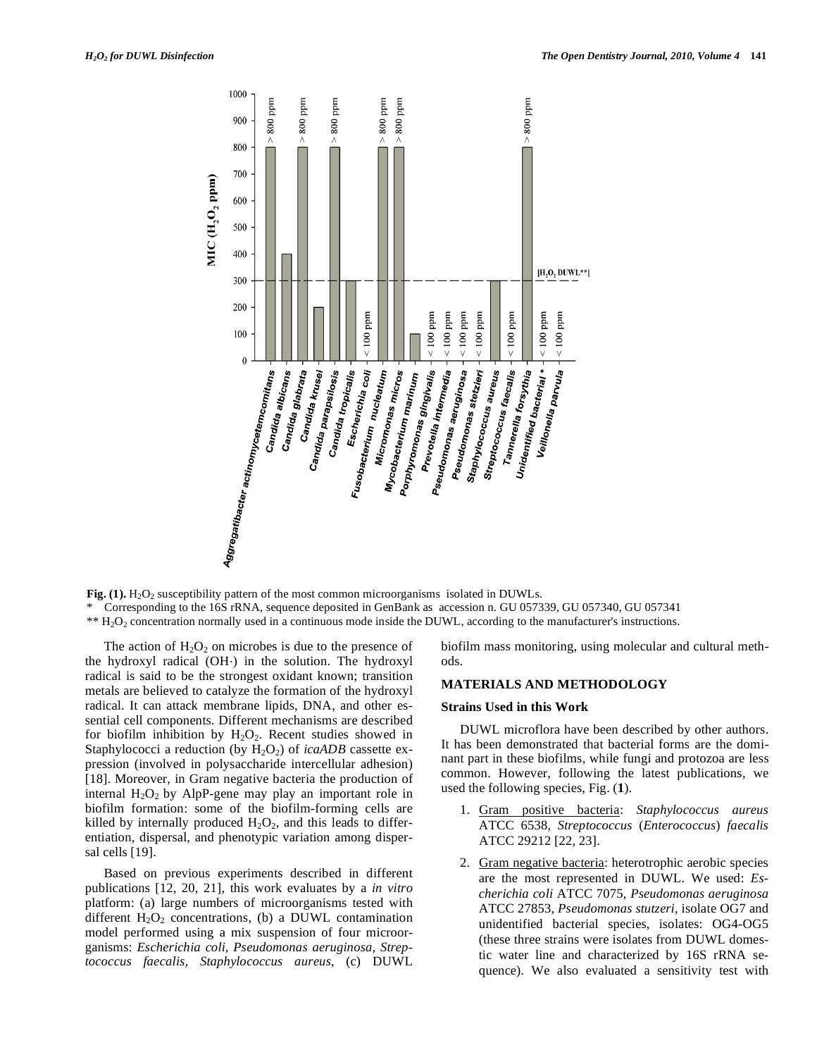

Fig. (1). H<sub>2</sub>O<sub>2</sub> susceptibility pattern of the most common microorganisms isolated in DUWLs.

\* Corresponding to the 16S rRNA, sequence deposited in GenBank as accession n. GU 057339, GU 057340, GU 057341

 $*$  H<sub>2</sub>O<sub>2</sub> concentration normally used in a continuous mode inside the DUWL, according to the manufacturer's instructions.

The action of  $H_2O_2$  on microbes is due to the presence of the hydroxyl radical (OH·) in the solution. The hydroxyl radical is said to be the strongest oxidant known; transition metals are believed to catalyze the formation of the hydroxyl radical. It can attack membrane lipids, DNA, and other essential cell components. Different mechanisms are described for biofilm inhibition by  $H_2O_2$ . Recent studies showed in Staphylococci a reduction (by H<sub>2</sub>O<sub>2</sub>) of *icaADB* cassette expression (involved in polysaccharide intercellular adhesion) [18]. Moreover, in Gram negative bacteria the production of internal  $H_2O_2$  by AlpP-gene may play an important role in biofilm formation: some of the biofilm-forming cells are killed by internally produced  $H_2O_2$ , and this leads to differentiation, dispersal, and phenotypic variation among dispersal cells [19].

Based on previous experiments described in different publications [12, 20, 21], this work evaluates by a *in vitro* platform: (a) large numbers of microorganisms tested with different  $H_2O_2$  concentrations, (b) a DUWL contamination model performed using a mix suspension of four microorganisms: *Escherichia coli, Pseudomonas aeruginosa, Streptococcus faecalis, Staphylococcus aureus*, (c) DUWL

biofilm mass monitoring, using molecular and cultural methods.

#### **MATERIALS AND METHODOLOGY**

# **Strains Used in this Work**

DUWL microflora have been described by other authors. It has been demonstrated that bacterial forms are the dominant part in these biofilms, while fungi and protozoa are less common. However, following the latest publications, we used the following species, Fig. (**1**).

- 1. Gram positive bacteria: *Staphylococcus aureus* ATCC 6538, *Streptococcus* (*Enterococcus*) *faecalis*  ATCC 29212 [22, 23].
- 2. Gram negative bacteria: heterotrophic aerobic species are the most represented in DUWL. We used: *Escherichia coli* ATCC 7075, *Pseudomonas aeruginosa* ATCC 27853, *Pseudomonas stutzeri*, isolate OG7 and unidentified bacterial species, isolates: OG4-OG5 (these three strains were isolates from DUWL domestic water line and characterized by 16S rRNA sequence). We also evaluated a sensitivity test with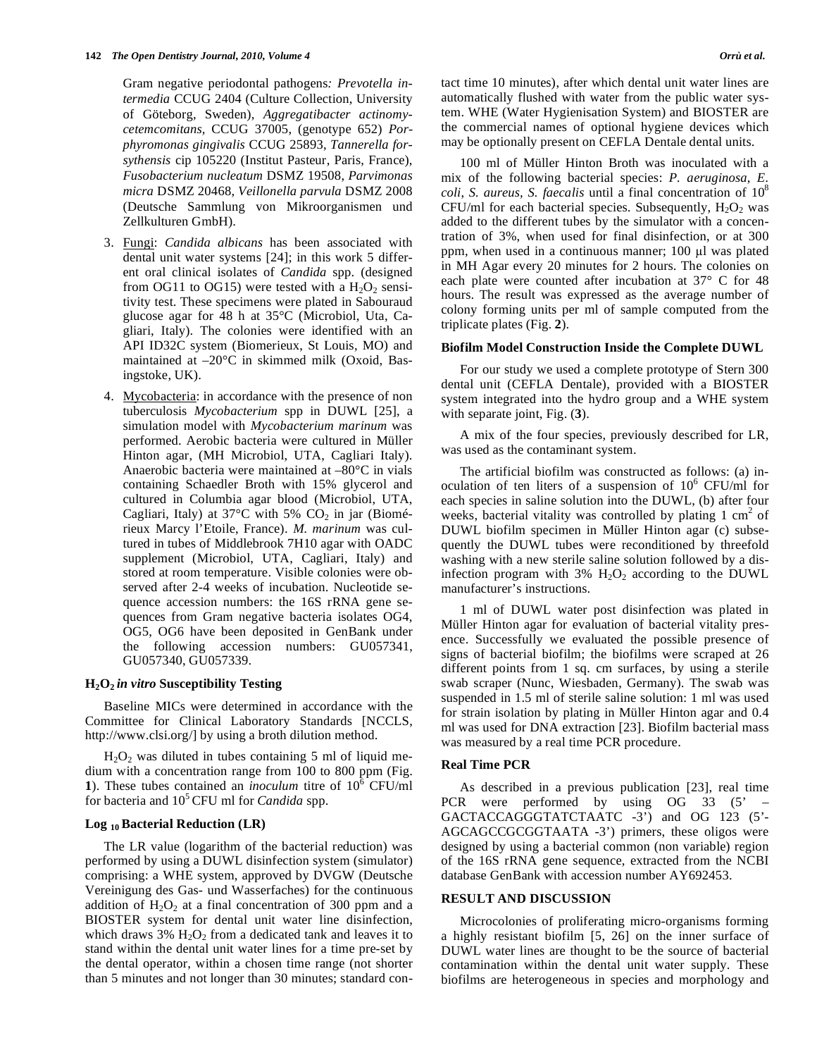Gram negative periodontal pathogens*: Prevotella intermedia* CCUG 2404 (Culture Collection, University of Göteborg, Sweden)*, Aggregatibacter actinomycetemcomitans,* CCUG 37005, (genotype 652) *Porphyromonas gingivalis* CCUG 25893, *Tannerella forsythensis* cip 105220 (Institut Pasteur, Paris, France), *Fusobacterium nucleatum* DSMZ 19508, *Parvimonas micra* DSMZ 20468, *Veillonella parvula* DSMZ 2008 (Deutsche Sammlung von Mikroorganismen und Zellkulturen GmbH).

- 3. Fungi: *Candida albicans* has been associated with dental unit water systems [24]; in this work 5 different oral clinical isolates of *Candida* spp. (designed from OG11 to OG15) were tested with a  $H_2O_2$  sensitivity test. These specimens were plated in Sabouraud glucose agar for 48 h at 35°C (Microbiol, Uta, Cagliari, Italy). The colonies were identified with an API ID32C system (Biomerieux, St Louis, MO) and maintained at –20°C in skimmed milk (Oxoid, Basingstoke, UK).
- 4. Mycobacteria: in accordance with the presence of non tuberculosis *Mycobacterium* spp in DUWL [25], a simulation model with *Mycobacterium marinum* was performed. Aerobic bacteria were cultured in Müller Hinton agar, (MH Microbiol, UTA, Cagliari Italy). Anaerobic bacteria were maintained at –80°C in vials containing Schaedler Broth with 15% glycerol and cultured in Columbia agar blood (Microbiol, UTA, Cagliari, Italy) at  $37^{\circ}$ C with 5% CO<sub>2</sub> in jar (Biomérieux Marcy l'Etoile, France). *M. marinum* was cultured in tubes of Middlebrook 7H10 agar with OADC supplement (Microbiol, UTA, Cagliari, Italy) and stored at room temperature. Visible colonies were observed after 2-4 weeks of incubation. Nucleotide sequence accession numbers: the 16S rRNA gene sequences from Gram negative bacteria isolates OG4, OG5, OG6 have been deposited in GenBank under the following accession numbers: GU057341, GU057340, GU057339.

# **H2O2** *in vitro* **Susceptibility Testing**

Baseline MICs were determined in accordance with the Committee for Clinical Laboratory Standards [NCCLS, http://www.clsi.org/] by using a broth dilution method.

 $H<sub>2</sub>O<sub>2</sub>$  was diluted in tubes containing 5 ml of liquid medium with a concentration range from 100 to 800 ppm (Fig. 1). These tubes contained an *inoculum* titre of  $10^6$  CFU/ml for bacteria and 105 CFU ml for *Candida* spp.

# **Log 10 Bacterial Reduction (LR)**

The LR value (logarithm of the bacterial reduction) was performed by using a DUWL disinfection system (simulator) comprising: a WHE system, approved by DVGW (Deutsche Vereinigung des Gas- und Wasserfaches) for the continuous addition of  $H_2O_2$  at a final concentration of 300 ppm and a BIOSTER system for dental unit water line disinfection, which draws  $3\%$  H<sub>2</sub>O<sub>2</sub> from a dedicated tank and leaves it to stand within the dental unit water lines for a time pre-set by the dental operator, within a chosen time range (not shorter than 5 minutes and not longer than 30 minutes; standard contact time 10 minutes), after which dental unit water lines are automatically flushed with water from the public water system. WHE (Water Hygienisation System) and BIOSTER are the commercial names of optional hygiene devices which may be optionally present on CEFLA Dentale dental units.

100 ml of Müller Hinton Broth was inoculated with a mix of the following bacterial species: *P. aeruginosa*, *E. coli*, *S. aureus, S. faecalis* until a final concentration of 108 CFU/ml for each bacterial species. Subsequently,  $H_2O_2$  was added to the different tubes by the simulator with a concentration of 3%, when used for final disinfection, or at 300 ppm, when used in a continuous manner;  $100 \mu l$  was plated in MH Agar every 20 minutes for 2 hours. The colonies on each plate were counted after incubation at 37° C for 48 hours. The result was expressed as the average number of colony forming units per ml of sample computed from the triplicate plates (Fig. **2**).

### **Biofilm Model Construction Inside the Complete DUWL**

For our study we used a complete prototype of Stern 300 dental unit (CEFLA Dentale), provided with a BIOSTER system integrated into the hydro group and a WHE system with separate joint, Fig. (**3**).

A mix of the four species, previously described for LR, was used as the contaminant system.

The artificial biofilm was constructed as follows: (a) inoculation of ten liters of a suspension of  $10^6$  CFU/ml for each species in saline solution into the DUWL, (b) after four weeks, bacterial vitality was controlled by plating  $1 \text{ cm}^2$  of DUWL biofilm specimen in Müller Hinton agar (c) subsequently the DUWL tubes were reconditioned by threefold washing with a new sterile saline solution followed by a disinfection program with  $3\%$  H<sub>2</sub>O<sub>2</sub> according to the DUWL manufacturer's instructions.

1 ml of DUWL water post disinfection was plated in Müller Hinton agar for evaluation of bacterial vitality presence. Successfully we evaluated the possible presence of signs of bacterial biofilm; the biofilms were scraped at 26 different points from 1 sq. cm surfaces, by using a sterile swab scraper (Nunc, Wiesbaden, Germany). The swab was suspended in 1.5 ml of sterile saline solution: 1 ml was used for strain isolation by plating in Müller Hinton agar and 0.4 ml was used for DNA extraction [23]. Biofilm bacterial mass was measured by a real time PCR procedure.

#### **Real Time PCR**

As described in a previous publication [23], real time PCR were performed by using OG 33 (5' GACTACCAGGGTATCTAATC -3') and OG 123 (5'- AGCAGCCGCGGTAATA -3') primers, these oligos were designed by using a bacterial common (non variable) region of the 16S rRNA gene sequence, extracted from the NCBI database GenBank with accession number AY692453.

#### **RESULT AND DISCUSSION**

Microcolonies of proliferating micro-organisms forming a highly resistant biofilm [5, 26] on the inner surface of DUWL water lines are thought to be the source of bacterial contamination within the dental unit water supply. These biofilms are heterogeneous in species and morphology and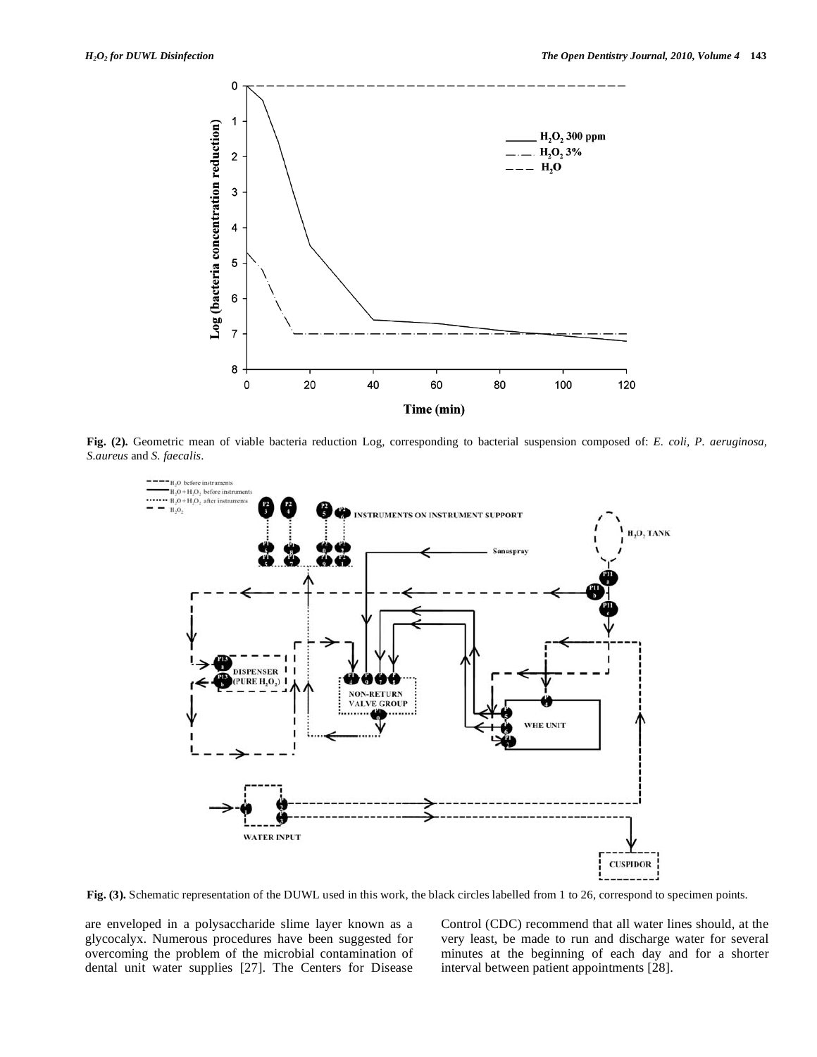

**Fig. (2).** Geometric mean of viable bacteria reduction Log, corresponding to bacterial suspension composed of: *E. coli, P. aeruginosa, S.aureus* and *S. faecalis*.



**Fig. (3).** Schematic representation of the DUWL used in this work, the black circles labelled from 1 to 26, correspond to specimen points.

are enveloped in a polysaccharide slime layer known as a glycocalyx. Numerous procedures have been suggested for overcoming the problem of the microbial contamination of dental unit water supplies [27]. The Centers for Disease

Control (CDC) recommend that all water lines should, at the very least, be made to run and discharge water for several minutes at the beginning of each day and for a shorter interval between patient appointments [28].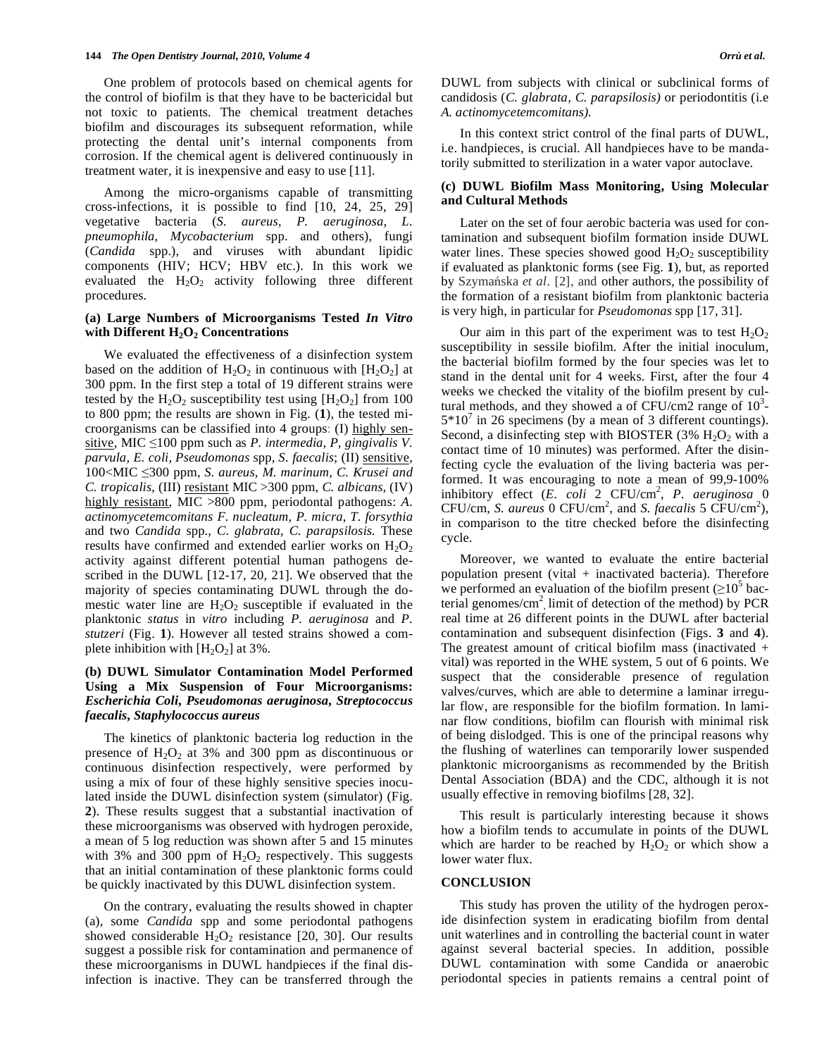One problem of protocols based on chemical agents for the control of biofilm is that they have to be bactericidal but not toxic to patients. The chemical treatment detaches biofilm and discourages its subsequent reformation, while protecting the dental unit's internal components from corrosion. If the chemical agent is delivered continuously in treatment water, it is inexpensive and easy to use [11].

Among the micro-organisms capable of transmitting cross-infections, it is possible to find [10, 24, 25, 29] vegetative bacteria (*S. aureus*, *P. aeruginosa*, *L. pneumophila*, *Mycobacterium* spp. and others), fungi (*Candida* spp.), and viruses with abundant lipidic components (HIV; HCV; HBV etc.). In this work we evaluated the  $H_2O_2$  activity following three different procedures.

# **(a) Large Numbers of Microorganisms Tested** *In Vitro* **with Different H2O2 Concentrations**

We evaluated the effectiveness of a disinfection system based on the addition of  $H_2O_2$  in continuous with  $[H_2O_2]$  at 300 ppm. In the first step a total of 19 different strains were tested by the  $H_2O_2$  susceptibility test using  $[H_2O_2]$  from 100 to 800 ppm; the results are shown in Fig. (**1**), the tested microorganisms can be classified into 4 groups: (I) highly sensitive, MIC  $\leq 100$  ppm such as *P. intermedia, P. gingivalis V. parvula, E. coli, Pseudomonas* spp, *S. faecalis*; (II) sensitive, 100<MIC 300 ppm, *S. aureus, M. marinum, C. Krusei and C. tropicalis*, (III) resistant MIC >300 ppm, *C. albicans*, (IV) highly resistant, MIC >800 ppm, periodontal pathogens: *A*. *actinomycetemcomitans F. nucleatum, P. micra*, *T. forsythia* and two *Candida* spp*., C. glabrata, C. parapsilosis.* These results have confirmed and extended earlier works on  $H_2O_2$ activity against different potential human pathogens described in the DUWL [12-17, 20, 21]. We observed that the majority of species contaminating DUWL through the domestic water line are  $H_2O_2$  susceptible if evaluated in the planktonic *status* in *vitro* including *P. aeruginosa* and *P. stutzeri* (Fig. **1**). However all tested strains showed a complete inhibition with  $[H<sub>2</sub>O<sub>2</sub>]$  at 3%.

# **(b) DUWL Simulator Contamination Model Performed Using a Mix Suspension of Four Microorganisms:**  *Escherichia Coli***,** *Pseudomonas aeruginosa***,** *Streptococcus faecalis***,** *Staphylococcus aureus*

The kinetics of planktonic bacteria log reduction in the presence of  $H_2O_2$  at 3% and 300 ppm as discontinuous or continuous disinfection respectively, were performed by using a mix of four of these highly sensitive species inoculated inside the DUWL disinfection system (simulator) (Fig. **2**). These results suggest that a substantial inactivation of these microorganisms was observed with hydrogen peroxide, a mean of 5 log reduction was shown after 5 and 15 minutes with 3% and 300 ppm of  $H_2O_2$  respectively. This suggests that an initial contamination of these planktonic forms could be quickly inactivated by this DUWL disinfection system.

On the contrary, evaluating the results showed in chapter (a), some *Candida* spp and some periodontal pathogens showed considerable  $H_2O_2$  resistance [20, 30]. Our results suggest a possible risk for contamination and permanence of these microorganisms in DUWL handpieces if the final disinfection is inactive. They can be transferred through the

DUWL from subjects with clinical or subclinical forms of candidosis (*C. glabrata, C. parapsilosis)* or periodontitis (i.e *A. actinomycetemcomitans).* 

In this context strict control of the final parts of DUWL, i.e. handpieces, is crucial. All handpieces have to be mandatorily submitted to sterilization in a water vapor autoclave.

# **(c) DUWL Biofilm Mass Monitoring, Using Molecular and Cultural Methods**

Later on the set of four aerobic bacteria was used for contamination and subsequent biofilm formation inside DUWL water lines. These species showed good  $H_2O_2$  susceptibility if evaluated as planktonic forms (see Fig. **1**), but, as reported by Szymańska *et al.* [2], and other authors, the possibility of the formation of a resistant biofilm from planktonic bacteria is very high, in particular for *Pseudomonas* spp [17, 31].

Our aim in this part of the experiment was to test  $H_2O_2$ susceptibility in sessile biofilm. After the initial inoculum, the bacterial biofilm formed by the four species was let to stand in the dental unit for 4 weeks. First, after the four 4 weeks we checked the vitality of the biofilm present by cultural methods, and they showed a of CFU/cm2 range of  $10^3$ - $5*10^7$  in 26 specimens (by a mean of 3 different countings). Second, a disinfecting step with BIOSTER (3%  $H_2O_2$  with a contact time of 10 minutes) was performed. After the disinfecting cycle the evaluation of the living bacteria was performed. It was encouraging to note a mean of 99,9-100% inhibitory effect (*E. coli* 2 CFU/cm<sup>2</sup> , *P. aeruginosa* 0 CFU/cm, *S. aureus* 0 CFU/cm<sup>2</sup> , and *S. faecalis* 5 CFU/cm<sup>2</sup> ), in comparison to the titre checked before the disinfecting cycle.

Moreover, we wanted to evaluate the entire bacterial population present (vital  $+$  inactivated bacteria). Therefore we performed an evaluation of the biofilm present  $(≥10<sup>5</sup>$  bacterial genomes/cm<sup>2</sup> , limit of detection of the method) by PCR real time at 26 different points in the DUWL after bacterial contamination and subsequent disinfection (Figs. **3** and **4**). The greatest amount of critical biofilm mass (inactivated + vital) was reported in the WHE system, 5 out of 6 points. We suspect that the considerable presence of regulation valves/curves, which are able to determine a laminar irregular flow, are responsible for the biofilm formation. In laminar flow conditions, biofilm can flourish with minimal risk of being dislodged. This is one of the principal reasons why the flushing of waterlines can temporarily lower suspended planktonic microorganisms as recommended by the British Dental Association (BDA) and the CDC, although it is not usually effective in removing biofilms [28, 32].

This result is particularly interesting because it shows how a biofilm tends to accumulate in points of the DUWL which are harder to be reached by  $H_2O_2$  or which show a lower water flux.

# **CONCLUSION**

This study has proven the utility of the hydrogen peroxide disinfection system in eradicating biofilm from dental unit waterlines and in controlling the bacterial count in water against several bacterial species. In addition, possible DUWL contamination with some Candida or anaerobic periodontal species in patients remains a central point of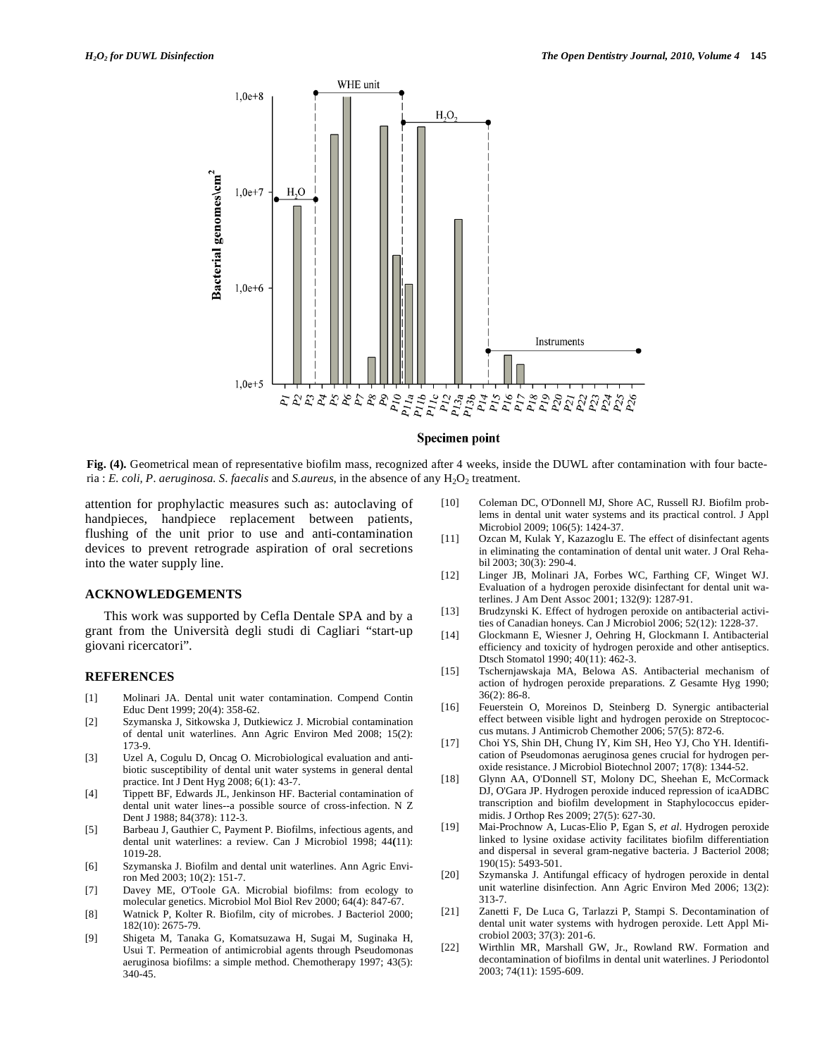

#### Specimen point

Fig. (4). Geometrical mean of representative biofilm mass, recognized after 4 weeks, inside the DUWL after contamination with four bacteria : *E. coli, P. aeruginosa. S. faecalis* and *S. aureus*, in the absence of any H<sub>2</sub>O<sub>2</sub> treatment.

attention for prophylactic measures such as: autoclaving of handpieces, handpiece replacement between patients, flushing of the unit prior to use and anti-contamination devices to prevent retrograde aspiration of oral secretions into the water supply line.

# **ACKNOWLEDGEMENTS**

This work was supported by Cefla Dentale SPA and by a grant from the Università degli studi di Cagliari "start-up giovani ricercatori".

#### **REFERENCES**

- [1] Molinari JA. Dental unit water contamination. Compend Contin Educ Dent 1999; 20(4): 358-62.
- [2] Szymanska J, Sitkowska J, Dutkiewicz J. Microbial contamination of dental unit waterlines. Ann Agric Environ Med 2008; 15(2): 173-9.
- [3] Uzel A, Cogulu D, Oncag O. Microbiological evaluation and antibiotic susceptibility of dental unit water systems in general dental practice. Int J Dent Hyg 2008; 6(1): 43-7.
- [4] Tippett BF, Edwards JL, Jenkinson HF. Bacterial contamination of dental unit water lines--a possible source of cross-infection. N Z Dent J 1988; 84(378): 112-3.
- [5] Barbeau J, Gauthier C, Payment P. Biofilms, infectious agents, and dental unit waterlines: a review. Can J Microbiol 1998; 44**(**11): 1019-28.
- [6] Szymanska J. Biofilm and dental unit waterlines. Ann Agric Environ Med 2003; 10(2): 151-7.
- [7] Davey ME, O'Toole GA. Microbial biofilms: from ecology to molecular genetics. Microbiol Mol Biol Rev 2000; 64(4): 847-67.
- [8] Watnick P, Kolter R. Biofilm, city of microbes. J Bacteriol 2000; 182(10): 2675-79.
- [9] Shigeta M, Tanaka G, Komatsuzawa H, Sugai M, Suginaka H, Usui T. Permeation of antimicrobial agents through Pseudomonas aeruginosa biofilms: a simple method. Chemotherapy 1997; 43(5): 340-45.
- [10] Coleman DC, O'Donnell MJ, Shore AC, Russell RJ. Biofilm problems in dental unit water systems and its practical control. J Appl Microbiol 2009; 106(5): 1424-37.
- [11] Ozcan M, Kulak Y, Kazazoglu E. The effect of disinfectant agents in eliminating the contamination of dental unit water. J Oral Rehabil 2003; 30(3): 290-4.
- [12] Linger JB, Molinari JA, Forbes WC, Farthing CF, Winget WJ. Evaluation of a hydrogen peroxide disinfectant for dental unit waterlines. J Am Dent Assoc 2001; 132(9): 1287-91.
- [13] Brudzynski K. Effect of hydrogen peroxide on antibacterial activities of Canadian honeys. Can J Microbiol 2006; 52(12): 1228-37.
- [14] Glockmann E, Wiesner J, Oehring H, Glockmann I. Antibacterial efficiency and toxicity of hydrogen peroxide and other antiseptics. Dtsch Stomatol 1990; 40(11): 462-3.
- [15] Tschernjawskaja MA, Belowa AS. Antibacterial mechanism of action of hydrogen peroxide preparations. Z Gesamte Hyg 1990;  $36(2)$ : 86-8.
- [16] Feuerstein O, Moreinos D, Steinberg D. Synergic antibacterial effect between visible light and hydrogen peroxide on Streptococcus mutans. J Antimicrob Chemother 2006; 57(5): 872-6.
- [17] Choi YS, Shin DH, Chung IY, Kim SH, Heo YJ, Cho YH. Identification of Pseudomonas aeruginosa genes crucial for hydrogen peroxide resistance. J Microbiol Biotechnol 2007; 17(8): 1344-52.
- [18] Glynn AA, O'Donnell ST, Molony DC, Sheehan E, McCormack DJ, O'Gara JP. Hydrogen peroxide induced repression of icaADBC transcription and biofilm development in Staphylococcus epidermidis. J Orthop Res 2009; 27(5): 627-30.
- [19] Mai-Prochnow A, Lucas-Elio P, Egan S, *et al*. Hydrogen peroxide linked to lysine oxidase activity facilitates biofilm differentiation and dispersal in several gram-negative bacteria. J Bacteriol 2008; 190(15): 5493-501.
- [20] Szymanska J. Antifungal efficacy of hydrogen peroxide in dental unit waterline disinfection. Ann Agric Environ Med 2006; 13(2): 313-7.
- [21] Zanetti F, De Luca G, Tarlazzi P, Stampi S. Decontamination of dental unit water systems with hydrogen peroxide. Lett Appl Microbiol 2003; 37(3): 201-6.
- [22] Wirthlin MR, Marshall GW, Jr., Rowland RW. Formation and decontamination of biofilms in dental unit waterlines. J Periodontol 2003; 74(11): 1595-609.